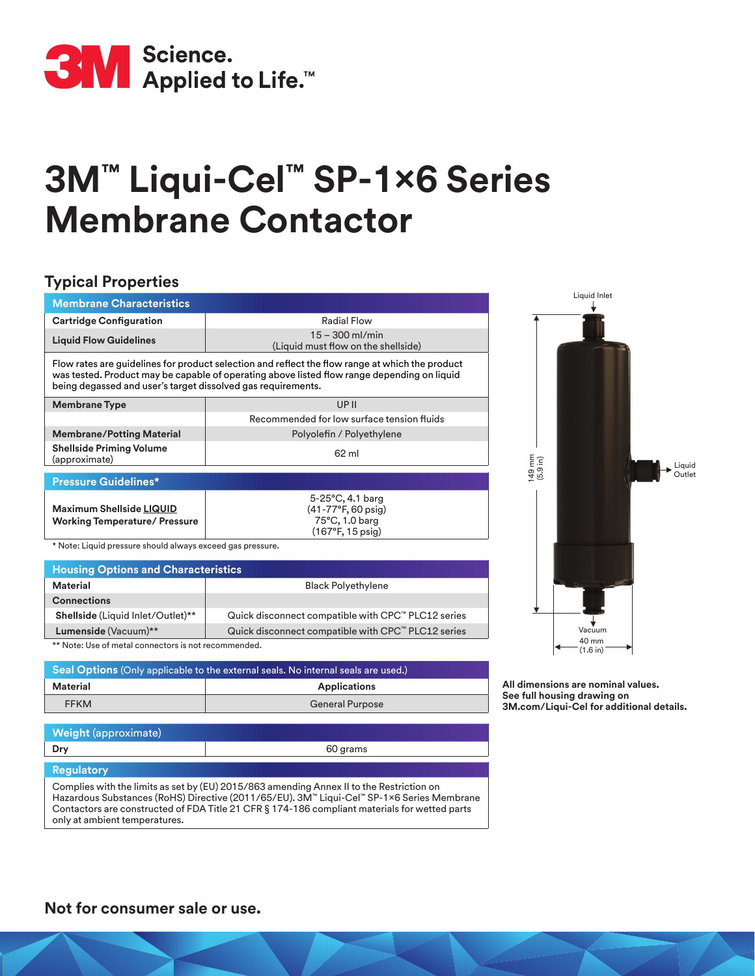

## **3M™ Liqui-Cel™ SP-1x6 Series Membrane Contactor**

## **Typical Properties**

| <b>Membrane Characteristics</b>                                                                                                                                                                                                                                |                                                          |  |
|----------------------------------------------------------------------------------------------------------------------------------------------------------------------------------------------------------------------------------------------------------------|----------------------------------------------------------|--|
| <b>Cartridge Configuration</b>                                                                                                                                                                                                                                 | Radial Flow                                              |  |
| <b>Liquid Flow Guidelines</b>                                                                                                                                                                                                                                  | $15 - 300$ ml/min<br>(Liquid must flow on the shellside) |  |
| Flow rates are guidelines for product selection and reflect the flow range at which the product<br>was tested. Product may be capable of operating above listed flow range depending on liquid<br>being degassed and user's target dissolved gas requirements. |                                                          |  |
| <b>Membrane Type</b>                                                                                                                                                                                                                                           | UPII                                                     |  |
|                                                                                                                                                                                                                                                                | Recommended for low surface tension fluids               |  |
| <b>Membrane/Potting Material</b>                                                                                                                                                                                                                               | Polyolefin / Polyethylene                                |  |
| <b>Shellside Priming Volume</b><br>(approximate)                                                                                                                                                                                                               | 62 ml                                                    |  |
| <b>Pressure Guidelines*</b>                                                                                                                                                                                                                                    |                                                          |  |
|                                                                                                                                                                                                                                                                | $5 - 25$ °C, 4.1 barg                                    |  |
| <b>Maximum Shellside LIQUID</b>                                                                                                                                                                                                                                | (41-77°F, 60 psig)                                       |  |
| <b>Working Temperature/ Pressure</b>                                                                                                                                                                                                                           | 75°C, 1.0 barg<br>$(167^{\circ}F, 15 \text{ psig})$      |  |
| * Matar I family concerned algorithical concerned and concerned                                                                                                                                                                                                |                                                          |  |

Note: Liquid pressure should always exceed gas pressure.

| <b>Housing Options and Characteristics</b> |                                                    |
|--------------------------------------------|----------------------------------------------------|
| Material                                   | <b>Black Polyethylene</b>                          |
| <b>Connections</b>                         |                                                    |
| <b>Shellside</b> (Liquid Inlet/Outlet)**   | Quick disconnect compatible with CPC™ PLC12 series |
| Lumenside (Vacuum)**                       | Quick disconnect compatible with CPC™ PLC12 series |
|                                            |                                                    |

\*\* Note: Use of metal connectors is not recommended.

| <b>Seal Options</b> (Only applicable to the external seals. No internal seals are used.) |                        |
|------------------------------------------------------------------------------------------|------------------------|
| Material                                                                                 | <b>Applications</b>    |
| <b>FFKM</b>                                                                              | <b>General Purpose</b> |

**All dimensions are nominal values. See full housing drawing on 3M.com/Liqui-Cel for additional details.**

Vacuum

Liquid Outlet

Liquid Inlet

40 mm  $(1.6 in)$ 

149 mm (5.9 in)

| <b>Weight</b> (approximate) |          |  |
|-----------------------------|----------|--|
| Dry                         | 60 grams |  |
| <b>Regulatory</b>           |          |  |

Complies with the limits as set by (EU) 2015/863 amending Annex II to the Restriction on Hazardous Substances (RoHS) Directive (2011/65/EU). 3M™ Liqui-Cel™ SP-1×6 Series Membrane Contactors are constructed of FDA Title 21 CFR § 174-186 compliant materials for wetted parts only at ambient temperatures.

**Not for consumer sale or use.**